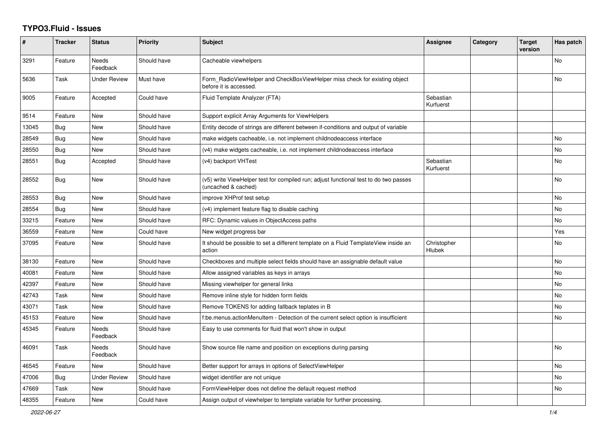## **TYPO3.Fluid - Issues**

| #     | <b>Tracker</b> | <b>Status</b>            | <b>Priority</b> | <b>Subject</b>                                                                                              | Assignee               | Category | <b>Target</b><br>version | Has patch |
|-------|----------------|--------------------------|-----------------|-------------------------------------------------------------------------------------------------------------|------------------------|----------|--------------------------|-----------|
| 3291  | Feature        | <b>Needs</b><br>Feedback | Should have     | Cacheable viewhelpers                                                                                       |                        |          |                          | No        |
| 5636  | Task           | Under Review             | Must have       | Form RadioViewHelper and CheckBoxViewHelper miss check for existing object<br>before it is accessed.        |                        |          |                          | <b>No</b> |
| 9005  | Feature        | Accepted                 | Could have      | Fluid Template Analyzer (FTA)                                                                               | Sebastian<br>Kurfuerst |          |                          |           |
| 9514  | Feature        | <b>New</b>               | Should have     | Support explicit Array Arguments for ViewHelpers                                                            |                        |          |                          |           |
| 13045 | <b>Bug</b>     | New                      | Should have     | Entity decode of strings are different between if-conditions and output of variable                         |                        |          |                          |           |
| 28549 | <b>Bug</b>     | New                      | Should have     | make widgets cacheable, i.e. not implement childnodeaccess interface                                        |                        |          |                          | No        |
| 28550 | <b>Bug</b>     | New                      | Should have     | (v4) make widgets cacheable, i.e. not implement childnodeaccess interface                                   |                        |          |                          | No        |
| 28551 | <b>Bug</b>     | Accepted                 | Should have     | (v4) backport VHTest                                                                                        | Sebastian<br>Kurfuerst |          |                          | No        |
| 28552 | Bug            | New                      | Should have     | (v5) write ViewHelper test for compiled run; adjust functional test to do two passes<br>(uncached & cached) |                        |          |                          | No        |
| 28553 | <b>Bug</b>     | New                      | Should have     | improve XHProf test setup                                                                                   |                        |          |                          | No        |
| 28554 | Bug            | New                      | Should have     | (v4) implement feature flag to disable caching                                                              |                        |          |                          | No        |
| 33215 | Feature        | New                      | Should have     | RFC: Dynamic values in ObjectAccess paths                                                                   |                        |          |                          | No        |
| 36559 | Feature        | New                      | Could have      | New widget progress bar                                                                                     |                        |          |                          | Yes       |
| 37095 | Feature        | New                      | Should have     | It should be possible to set a different template on a Fluid TemplateView inside an<br>action               | Christopher<br>Hlubek  |          |                          | No        |
| 38130 | Feature        | New                      | Should have     | Checkboxes and multiple select fields should have an assignable default value                               |                        |          |                          | <b>No</b> |
| 40081 | Feature        | New                      | Should have     | Allow assigned variables as keys in arrays                                                                  |                        |          |                          | No        |
| 42397 | Feature        | <b>New</b>               | Should have     | Missing viewhelper for general links                                                                        |                        |          |                          | No.       |
| 42743 | Task           | <b>New</b>               | Should have     | Remove inline style for hidden form fields                                                                  |                        |          |                          | <b>No</b> |
| 43071 | Task           | <b>New</b>               | Should have     | Remove TOKENS for adding fallback teplates in B                                                             |                        |          |                          | <b>No</b> |
| 45153 | Feature        | New                      | Should have     | f:be.menus.actionMenuItem - Detection of the current select option is insufficient                          |                        |          |                          | No        |
| 45345 | Feature        | Needs<br>Feedback        | Should have     | Easy to use comments for fluid that won't show in output                                                    |                        |          |                          |           |
| 46091 | Task           | <b>Needs</b><br>Feedback | Should have     | Show source file name and position on exceptions during parsing                                             |                        |          |                          | <b>No</b> |
| 46545 | Feature        | <b>New</b>               | Should have     | Better support for arrays in options of SelectViewHelper                                                    |                        |          |                          | <b>No</b> |
| 47006 | <b>Bug</b>     | <b>Under Review</b>      | Should have     | widget identifier are not unique                                                                            |                        |          |                          | <b>No</b> |
| 47669 | Task           | <b>New</b>               | Should have     | FormViewHelper does not define the default request method                                                   |                        |          |                          | No        |
| 48355 | Feature        | <b>New</b>               | Could have      | Assign output of viewhelper to template variable for further processing.                                    |                        |          |                          |           |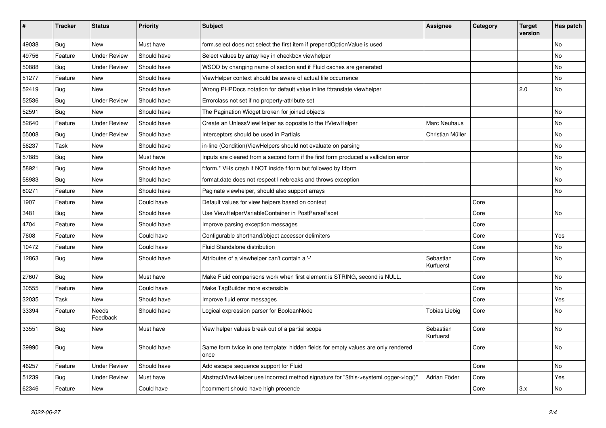| $\vert$ # | <b>Tracker</b> | <b>Status</b>            | <b>Priority</b> | <b>Subject</b>                                                                            | Assignee               | Category | <b>Target</b><br>version | Has patch |
|-----------|----------------|--------------------------|-----------------|-------------------------------------------------------------------------------------------|------------------------|----------|--------------------------|-----------|
| 49038     | <b>Bug</b>     | New                      | Must have       | form.select does not select the first item if prependOptionValue is used                  |                        |          |                          | <b>No</b> |
| 49756     | Feature        | Under Review             | Should have     | Select values by array key in checkbox viewhelper                                         |                        |          |                          | <b>No</b> |
| 50888     | Bug            | <b>Under Review</b>      | Should have     | WSOD by changing name of section and if Fluid caches are generated                        |                        |          |                          | No        |
| 51277     | Feature        | New                      | Should have     | ViewHelper context should be aware of actual file occurrence                              |                        |          |                          | No        |
| 52419     | <b>Bug</b>     | <b>New</b>               | Should have     | Wrong PHPDocs notation for default value inline f:translate viewhelper                    |                        |          | 2.0                      | <b>No</b> |
| 52536     | Bug            | <b>Under Review</b>      | Should have     | Errorclass not set if no property-attribute set                                           |                        |          |                          |           |
| 52591     | <b>Bug</b>     | New                      | Should have     | The Pagination Widget broken for joined objects                                           |                        |          |                          | No        |
| 52640     | Feature        | <b>Under Review</b>      | Should have     | Create an UnlessViewHelper as opposite to the IfViewHelper                                | Marc Neuhaus           |          |                          | <b>No</b> |
| 55008     | Bug            | <b>Under Review</b>      | Should have     | Interceptors should be used in Partials                                                   | Christian Müller       |          |                          | No        |
| 56237     | Task           | New                      | Should have     | in-line (Condition) View Helpers should not evaluate on parsing                           |                        |          |                          | No        |
| 57885     | Bug            | New                      | Must have       | Inputs are cleared from a second form if the first form produced a vallidation error      |                        |          |                          | No        |
| 58921     | Bug            | New                      | Should have     | f:form.* VHs crash if NOT inside f:form but followed by f:form                            |                        |          |                          | <b>No</b> |
| 58983     | Bug            | New                      | Should have     | format.date does not respect linebreaks and throws exception                              |                        |          |                          | No        |
| 60271     | Feature        | New                      | Should have     | Paginate viewhelper, should also support arrays                                           |                        |          |                          | No        |
| 1907      | Feature        | New                      | Could have      | Default values for view helpers based on context                                          |                        | Core     |                          |           |
| 3481      | Bug            | New                      | Should have     | Use ViewHelperVariableContainer in PostParseFacet                                         |                        | Core     |                          | No        |
| 4704      | Feature        | New                      | Should have     | Improve parsing exception messages                                                        |                        | Core     |                          |           |
| 7608      | Feature        | New                      | Could have      | Configurable shorthand/object accessor delimiters                                         |                        | Core     |                          | Yes       |
| 10472     | Feature        | New                      | Could have      | Fluid Standalone distribution                                                             |                        | Core     |                          | No        |
| 12863     | Bug            | New                      | Should have     | Attributes of a viewhelper can't contain a '-'                                            | Sebastian<br>Kurfuerst | Core     |                          | No        |
| 27607     | Bug            | New                      | Must have       | Make Fluid comparisons work when first element is STRING, second is NULL.                 |                        | Core     |                          | <b>No</b> |
| 30555     | Feature        | New                      | Could have      | Make TagBuilder more extensible                                                           |                        | Core     |                          | No        |
| 32035     | Task           | New                      | Should have     | Improve fluid error messages                                                              |                        | Core     |                          | Yes       |
| 33394     | Feature        | <b>Needs</b><br>Feedback | Should have     | Logical expression parser for BooleanNode                                                 | Tobias Liebig          | Core     |                          | <b>No</b> |
| 33551     | <b>Bug</b>     | New                      | Must have       | View helper values break out of a partial scope                                           | Sebastian<br>Kurfuerst | Core     |                          | No        |
| 39990     | Bug            | <b>New</b>               | Should have     | Same form twice in one template: hidden fields for empty values are only rendered<br>once |                        | Core     |                          | <b>No</b> |
| 46257     | Feature        | <b>Under Review</b>      | Should have     | Add escape sequence support for Fluid                                                     |                        | Core     |                          | No        |
| 51239     | <b>Bug</b>     | <b>Under Review</b>      | Must have       | AbstractViewHelper use incorrect method signature for "\$this->systemLogger->log()"       | Adrian Föder           | Core     |                          | Yes       |
| 62346     | Feature        | <b>New</b>               | Could have      | f:comment should have high precende                                                       |                        | Core     | 3.x                      | <b>No</b> |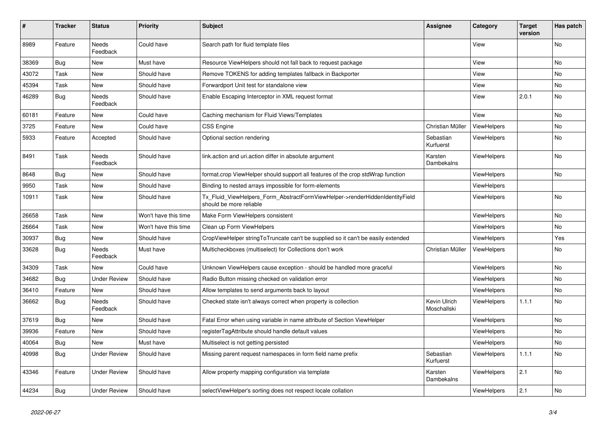| #     | <b>Tracker</b> | <b>Status</b>            | <b>Priority</b>      | <b>Subject</b>                                                                                         | Assignee                    | Category           | <b>Target</b><br>version | Has patch |
|-------|----------------|--------------------------|----------------------|--------------------------------------------------------------------------------------------------------|-----------------------------|--------------------|--------------------------|-----------|
| 8989  | Feature        | <b>Needs</b><br>Feedback | Could have           | Search path for fluid template files                                                                   |                             | View               |                          | <b>No</b> |
| 38369 | <b>Bug</b>     | New                      | Must have            | Resource ViewHelpers should not fall back to request package                                           |                             | View               |                          | No        |
| 43072 | Task           | New                      | Should have          | Remove TOKENS for adding templates fallback in Backporter                                              |                             | View               |                          | No        |
| 45394 | Task           | New                      | Should have          | Forwardport Unit test for standalone view                                                              |                             | View               |                          | <b>No</b> |
| 46289 | Bug            | Needs<br>Feedback        | Should have          | Enable Escaping Interceptor in XML request format                                                      |                             | View               | 2.0.1                    | No        |
| 60181 | Feature        | <b>New</b>               | Could have           | Caching mechanism for Fluid Views/Templates                                                            |                             | View               |                          | <b>No</b> |
| 3725  | Feature        | New                      | Could have           | <b>CSS Engine</b>                                                                                      | Christian Müller            | ViewHelpers        |                          | <b>No</b> |
| 5933  | Feature        | Accepted                 | Should have          | Optional section rendering                                                                             | Sebastian<br>Kurfuerst      | ViewHelpers        |                          | No        |
| 8491  | Task           | Needs<br>Feedback        | Should have          | link.action and uri.action differ in absolute argument                                                 | Karsten<br>Dambekalns       | ViewHelpers        |                          | <b>No</b> |
| 8648  | Bug            | New                      | Should have          | format.crop ViewHelper should support all features of the crop stdWrap function                        |                             | <b>ViewHelpers</b> |                          | <b>No</b> |
| 9950  | Task           | New                      | Should have          | Binding to nested arrays impossible for form-elements                                                  |                             | <b>ViewHelpers</b> |                          |           |
| 10911 | Task           | New                      | Should have          | Tx Fluid ViewHelpers Form AbstractFormViewHelper->renderHiddenIdentityField<br>should be more reliable |                             | <b>ViewHelpers</b> |                          | <b>No</b> |
| 26658 | Task           | <b>New</b>               | Won't have this time | Make Form ViewHelpers consistent                                                                       |                             | ViewHelpers        |                          | <b>No</b> |
| 26664 | Task           | New                      | Won't have this time | Clean up Form ViewHelpers                                                                              |                             | <b>ViewHelpers</b> |                          | <b>No</b> |
| 30937 | <b>Bug</b>     | New                      | Should have          | CropViewHelper stringToTruncate can't be supplied so it can't be easily extended                       |                             | ViewHelpers        |                          | Yes       |
| 33628 | Bug            | <b>Needs</b><br>Feedback | Must have            | Multicheckboxes (multiselect) for Collections don't work                                               | Christian Müller            | ViewHelpers        |                          | No        |
| 34309 | Task           | New                      | Could have           | Unknown ViewHelpers cause exception - should be handled more graceful                                  |                             | <b>ViewHelpers</b> |                          | No        |
| 34682 | <b>Bug</b>     | <b>Under Review</b>      | Should have          | Radio Button missing checked on validation error                                                       |                             | <b>ViewHelpers</b> |                          | <b>No</b> |
| 36410 | Feature        | <b>New</b>               | Should have          | Allow templates to send arguments back to layout                                                       |                             | <b>ViewHelpers</b> |                          | <b>No</b> |
| 36662 | Bug            | Needs<br>Feedback        | Should have          | Checked state isn't always correct when property is collection                                         | Kevin Ulrich<br>Moschallski | <b>ViewHelpers</b> | 1.1.1                    | <b>No</b> |
| 37619 | Bug            | New                      | Should have          | Fatal Error when using variable in name attribute of Section ViewHelper                                |                             | ViewHelpers        |                          | No        |
| 39936 | Feature        | New                      | Should have          | registerTagAttribute should handle default values                                                      |                             | <b>ViewHelpers</b> |                          | No        |
| 40064 | <b>Bug</b>     | New                      | Must have            | Multiselect is not getting persisted                                                                   |                             | ViewHelpers        |                          | No        |
| 40998 | Bug            | <b>Under Review</b>      | Should have          | Missing parent request namespaces in form field name prefix                                            | Sebastian<br>Kurfuerst      | ViewHelpers        | 1.1.1                    | No        |
| 43346 | Feature        | Under Review             | Should have          | Allow property mapping configuration via template                                                      | Karsten<br>Dambekalns       | <b>ViewHelpers</b> | 2.1                      | <b>No</b> |
| 44234 | <b>Bug</b>     | <b>Under Review</b>      | Should have          | selectViewHelper's sorting does not respect locale collation                                           |                             | ViewHelpers        | 2.1                      | <b>No</b> |